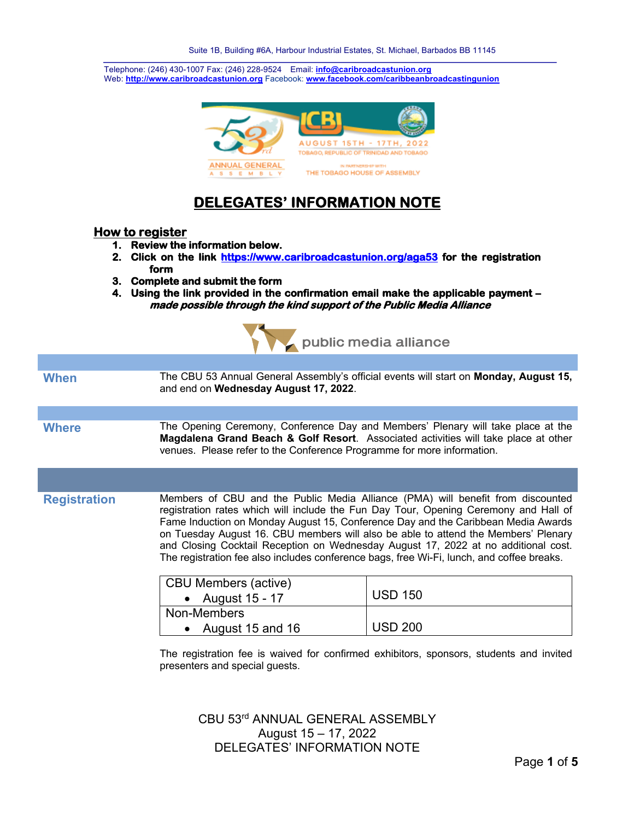Telephone: (246) 430-1007 Fax: (246) 228-9524 Email: **info@caribroadcastunion.org** Web: **http://www.caribroadcastunion.org** Facebook: **www.facebook.com/caribbeanbroadcastingunion**



# **DELEGATES' INFORMATION NOTE**

#### **How to register**

- **1. Review the information below.**
- **2. Click on the link https://www.caribroadcastunion.org/aga53 for the registration form**
- **3. Complete and submit the form**
- **4. Using the link provided in the confirmation email make the applicable payment made possible through the kind support of the Public Media Alliance**



| <b>When</b>         | and end on Wednesday August 17, 2022.                                                                                                                                                                                                                                                                                                                                                                                                                                                                                                 | The CBU 53 Annual General Assembly's official events will start on Monday, August 15, |
|---------------------|---------------------------------------------------------------------------------------------------------------------------------------------------------------------------------------------------------------------------------------------------------------------------------------------------------------------------------------------------------------------------------------------------------------------------------------------------------------------------------------------------------------------------------------|---------------------------------------------------------------------------------------|
|                     |                                                                                                                                                                                                                                                                                                                                                                                                                                                                                                                                       |                                                                                       |
| <b>Where</b>        | The Opening Ceremony, Conference Day and Members' Plenary will take place at the<br>Magdalena Grand Beach & Golf Resort. Associated activities will take place at other<br>venues. Please refer to the Conference Programme for more information.                                                                                                                                                                                                                                                                                     |                                                                                       |
|                     |                                                                                                                                                                                                                                                                                                                                                                                                                                                                                                                                       |                                                                                       |
| <b>Registration</b> | Members of CBU and the Public Media Alliance (PMA) will benefit from discounted<br>registration rates which will include the Fun Day Tour, Opening Ceremony and Hall of<br>Fame Induction on Monday August 15, Conference Day and the Caribbean Media Awards<br>on Tuesday August 16. CBU members will also be able to attend the Members' Plenary<br>and Closing Cocktail Reception on Wednesday August 17, 2022 at no additional cost.<br>The registration fee also includes conference bags, free Wi-Fi, lunch, and coffee breaks. |                                                                                       |
|                     | <b>CBU Members (active)</b>                                                                                                                                                                                                                                                                                                                                                                                                                                                                                                           |                                                                                       |
|                     | • August 15 - 17                                                                                                                                                                                                                                                                                                                                                                                                                                                                                                                      | <b>USD 150</b>                                                                        |
|                     | Non-Members                                                                                                                                                                                                                                                                                                                                                                                                                                                                                                                           |                                                                                       |
|                     | • August 15 and 16                                                                                                                                                                                                                                                                                                                                                                                                                                                                                                                    | <b>USD 200</b>                                                                        |

The registration fee is waived for confirmed exhibitors, sponsors, students and invited presenters and special guests.

CBU 53rd ANNUAL GENERAL ASSEMBLY August 15 – 17, 2022 DELEGATES' INFORMATION NOTE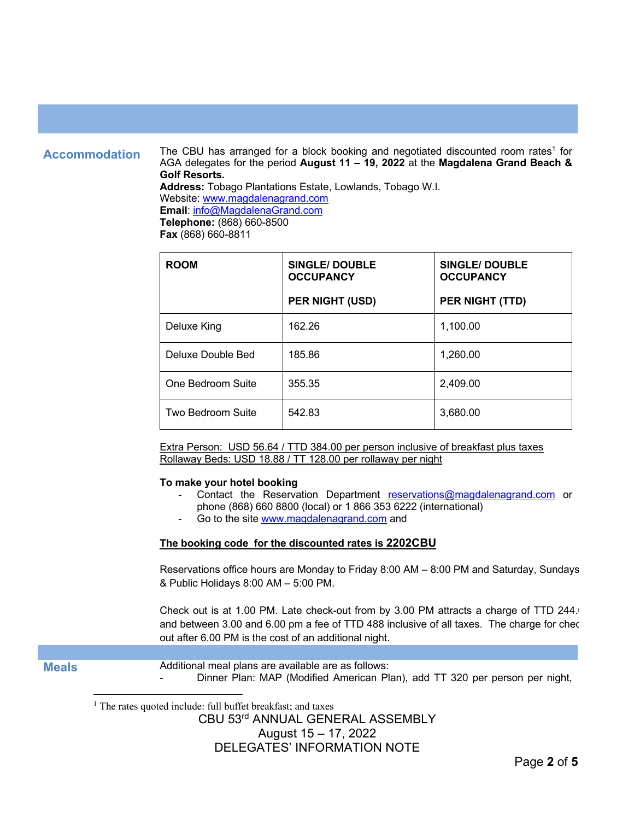**Accommodation** The CBU has arranged for a block booking and negotiated discounted room rates<sup>1</sup> for AGA delegates for the period **August 11 – 19, 2022** at the **Magdalena Grand Beach & Golf Resorts. Address:** Tobago Plantations Estate, Lowlands, Tobago W.I. Website: www.magdalenagrand.com **Email**: info@MagdalenaGrand.com **Telephone:** (868) 660-8500

**Fax** (868) 660-8811

| <b>ROOM</b>       | <b>SINGLE/DOUBLE</b><br><b>OCCUPANCY</b> | <b>SINGLE/DOUBLE</b><br><b>OCCUPANCY</b> |
|-------------------|------------------------------------------|------------------------------------------|
|                   | <b>PER NIGHT (USD)</b>                   | PER NIGHT (TTD)                          |
| Deluxe King       | 162.26                                   | 1,100.00                                 |
| Deluxe Double Bed | 185.86                                   | 1,260.00                                 |
| One Bedroom Suite | 355.35                                   | 2,409.00                                 |
| Two Bedroom Suite | 542.83                                   | 3,680.00                                 |

Extra Person: USD 56.64 / TTD 384.00 per person inclusive of breakfast plus taxes Rollaway Beds: USD 18.88 / TT 128.00 per rollaway per night

#### **To make your hotel booking**

- Contact the Reservation Department reservations@magdalenagrand.com or phone (868) 660 8800 (local) or 1 866 353 6222 (international)
- Go to the site www.magdalenagrand.com and

### **The booking code for the discounted rates is 2202CBU**

Reservations office hours are Monday to Friday 8:00 AM – 8:00 PM and Saturday, Sundays & & Public Holidays 8:00 AM – 5:00 PM.

Check out is at 1.00 PM. Late check-out from by 3.00 PM attracts a charge of TTD 244. and between 3.00 and 6.00 pm a fee of TTD 488 inclusive of all taxes. The charge for checkout after 6.00 PM is the cost of an additional night.

| <b>Meals</b> | Additional meal plans are available are as follows:                         |  |
|--------------|-----------------------------------------------------------------------------|--|
|              | Dinner Plan: MAP (Modified American Plan), add TT 320 per person per night, |  |

<sup>1</sup> The rates quoted include: full buffet breakfast; and taxes

CBU 53rd ANNUAL GENERAL ASSEMBLY

## August 15 – 17, 2022

DELEGATES' INFORMATION NOTE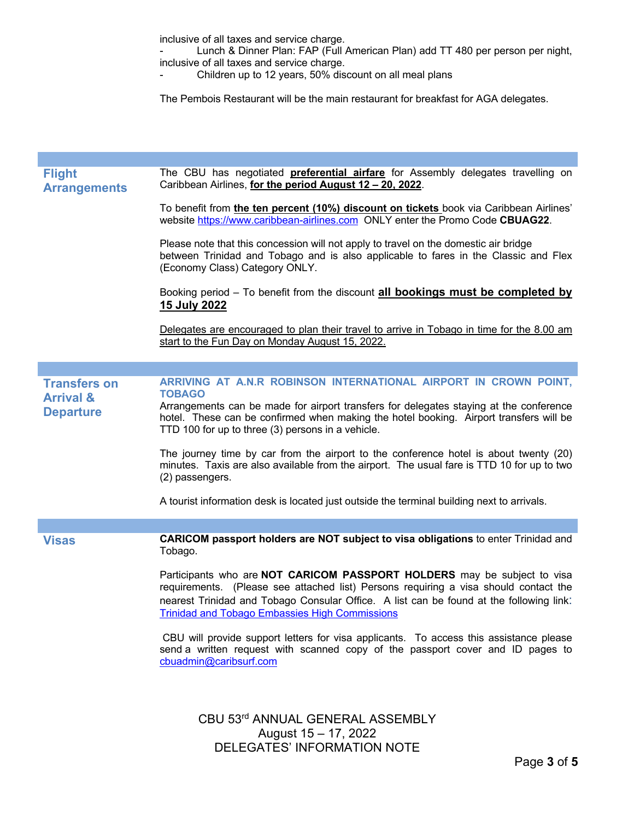inclusive of all taxes and service charge.

- Lunch & Dinner Plan: FAP (Full American Plan) add TT 480 per person per night, inclusive of all taxes and service charge.

Children up to 12 years, 50% discount on all meal plans

The Pembois Restaurant will be the main restaurant for breakfast for AGA delegates.

| <b>Flight</b><br><b>Arrangements</b> | The CBU has negotiated <b>preferential airfare</b> for Assembly delegates travelling on<br>Caribbean Airlines, for the period August 12 - 20, 2022.                                                                                                                                                                  |
|--------------------------------------|----------------------------------------------------------------------------------------------------------------------------------------------------------------------------------------------------------------------------------------------------------------------------------------------------------------------|
|                                      | To benefit from <i>the ten percent (10%) discount on tickets</i> book via Caribbean Airlines'<br>website https://www.caribbean-airlines.com ONLY enter the Promo Code CBUAG22.                                                                                                                                       |
|                                      | Please note that this concession will not apply to travel on the domestic air bridge<br>between Trinidad and Tobago and is also applicable to fares in the Classic and Flex<br>(Economy Class) Category ONLY.                                                                                                        |
|                                      | Booking period - To benefit from the discount all bookings must be completed by<br><u>15 July 2022</u>                                                                                                                                                                                                               |
|                                      | Delegates are encouraged to plan their travel to arrive in Tobago in time for the 8.00 am<br>start to the Fun Day on Monday August 15, 2022.                                                                                                                                                                         |
|                                      |                                                                                                                                                                                                                                                                                                                      |
| <b>Transfers on</b>                  | ARRIVING AT A.N.R ROBINSON INTERNATIONAL AIRPORT IN CROWN POINT.                                                                                                                                                                                                                                                     |
| <b>Arrival &amp;</b>                 | <b>TOBAGO</b>                                                                                                                                                                                                                                                                                                        |
| <b>Departure</b>                     | Arrangements can be made for airport transfers for delegates staying at the conference<br>hotel. These can be confirmed when making the hotel booking. Airport transfers will be<br>TTD 100 for up to three (3) persons in a vehicle.                                                                                |
|                                      | The journey time by car from the airport to the conference hotel is about twenty (20)<br>minutes. Taxis are also available from the airport. The usual fare is TTD 10 for up to two<br>(2) passengers.                                                                                                               |
|                                      | A tourist information desk is located just outside the terminal building next to arrivals.                                                                                                                                                                                                                           |
|                                      |                                                                                                                                                                                                                                                                                                                      |
| <b>Visas</b>                         | <b>CARICOM passport holders are NOT subject to visa obligations to enter Trinidad and</b><br>Tobago.                                                                                                                                                                                                                 |
|                                      | Participants who are NOT CARICOM PASSPORT HOLDERS may be subject to visa<br>requirements. (Please see attached list) Persons requiring a visa should contact the<br>nearest Trinidad and Tobago Consular Office. A list can be found at the following link:<br><b>Trinidad and Tobago Embassies High Commissions</b> |
|                                      | CBU will provide support letters for visa applicants. To access this assistance please<br>send a written request with scanned copy of the passport cover and ID pages to<br>cbuadmin@caribsurf.com                                                                                                                   |
|                                      | CBU 53rd ANNUAL GENERAL ASSEMBLY                                                                                                                                                                                                                                                                                     |
|                                      | August 15 - 17, 2022                                                                                                                                                                                                                                                                                                 |
|                                      | DELEGATES' INFORMATION NOTE                                                                                                                                                                                                                                                                                          |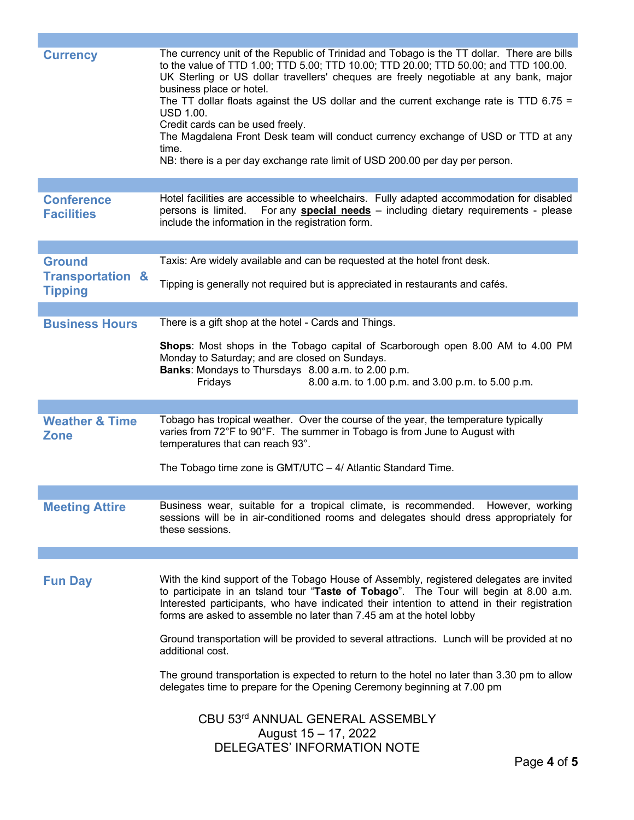| <b>Currency</b>                                                | The currency unit of the Republic of Trinidad and Tobago is the TT dollar. There are bills<br>to the value of TTD 1.00; TTD 5.00; TTD 10.00; TTD 20.00; TTD 50.00; and TTD 100.00.<br>UK Sterling or US dollar travellers' cheques are freely negotiable at any bank, major<br>business place or hotel.<br>The TT dollar floats against the US dollar and the current exchange rate is TTD 6.75 =<br><b>USD 1.00.</b><br>Credit cards can be used freely.<br>The Magdalena Front Desk team will conduct currency exchange of USD or TTD at any<br>time.<br>NB: there is a per day exchange rate limit of USD 200.00 per day per person. |
|----------------------------------------------------------------|-----------------------------------------------------------------------------------------------------------------------------------------------------------------------------------------------------------------------------------------------------------------------------------------------------------------------------------------------------------------------------------------------------------------------------------------------------------------------------------------------------------------------------------------------------------------------------------------------------------------------------------------|
| <b>Conference</b><br><b>Facilities</b>                         | Hotel facilities are accessible to wheelchairs. Fully adapted accommodation for disabled<br>For any <b>special needs</b> - including dietary requirements - please<br>persons is limited.<br>include the information in the registration form.                                                                                                                                                                                                                                                                                                                                                                                          |
|                                                                | Taxis: Are widely available and can be requested at the hotel front desk.                                                                                                                                                                                                                                                                                                                                                                                                                                                                                                                                                               |
| <b>Ground</b><br><b>Transportation &amp;</b><br><b>Tipping</b> | Tipping is generally not required but is appreciated in restaurants and cafés.                                                                                                                                                                                                                                                                                                                                                                                                                                                                                                                                                          |
|                                                                |                                                                                                                                                                                                                                                                                                                                                                                                                                                                                                                                                                                                                                         |
| <b>Business Hours</b>                                          | There is a gift shop at the hotel - Cards and Things.                                                                                                                                                                                                                                                                                                                                                                                                                                                                                                                                                                                   |
|                                                                | Shops: Most shops in the Tobago capital of Scarborough open 8.00 AM to 4.00 PM<br>Monday to Saturday; and are closed on Sundays.<br>Banks: Mondays to Thursdays 8.00 a.m. to 2.00 p.m.<br>8.00 a.m. to 1.00 p.m. and 3.00 p.m. to 5.00 p.m.<br>Fridays                                                                                                                                                                                                                                                                                                                                                                                  |
|                                                                |                                                                                                                                                                                                                                                                                                                                                                                                                                                                                                                                                                                                                                         |
| <b>Weather &amp; Time</b><br><b>Zone</b>                       | Tobago has tropical weather. Over the course of the year, the temperature typically<br>varies from 72°F to 90°F. The summer in Tobago is from June to August with<br>temperatures that can reach 93°.                                                                                                                                                                                                                                                                                                                                                                                                                                   |
|                                                                | The Tobago time zone is GMT/UTC - 4/ Atlantic Standard Time.                                                                                                                                                                                                                                                                                                                                                                                                                                                                                                                                                                            |
| <b>Meeting Attire</b>                                          | Business wear, suitable for a tropical climate, is recommended. However, working<br>sessions will be in air-conditioned rooms and delegates should dress appropriately for<br>these sessions.                                                                                                                                                                                                                                                                                                                                                                                                                                           |
|                                                                |                                                                                                                                                                                                                                                                                                                                                                                                                                                                                                                                                                                                                                         |
| <b>Fun Day</b>                                                 | With the kind support of the Tobago House of Assembly, registered delegates are invited<br>to participate in an tsland tour "Taste of Tobago". The Tour will begin at 8.00 a.m.<br>Interested participants, who have indicated their intention to attend in their registration<br>forms are asked to assemble no later than 7.45 am at the hotel lobby                                                                                                                                                                                                                                                                                  |
|                                                                | Ground transportation will be provided to several attractions. Lunch will be provided at no<br>additional cost.                                                                                                                                                                                                                                                                                                                                                                                                                                                                                                                         |
|                                                                | The ground transportation is expected to return to the hotel no later than 3.30 pm to allow<br>delegates time to prepare for the Opening Ceremony beginning at 7.00 pm                                                                                                                                                                                                                                                                                                                                                                                                                                                                  |
|                                                                | CBU 53rd ANNUAL GENERAL ASSEMBLY<br>August 15 - 17, 2022<br><b>DELEGATES' INFORMATION NOTE</b><br>Page 4 of 5                                                                                                                                                                                                                                                                                                                                                                                                                                                                                                                           |